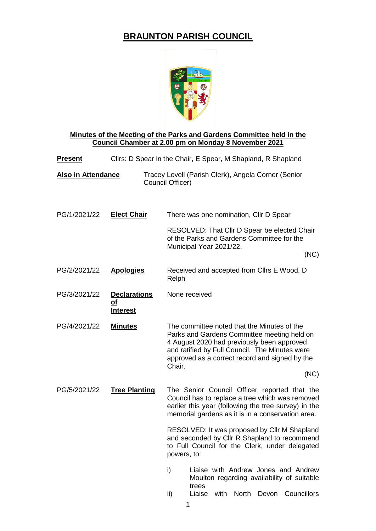## **BRAUNTON PARISH COUNCIL**



#### **Minutes of the Meeting of the Parks and Gardens Committee held in the Council Chamber at 2.00 pm on Monday 8 November 2021**

| <b>Present</b>            | Cllrs: D Spear in the Chair, E Spear, M Shapland, R Shapland |                                                                                                                               |  |  |  |
|---------------------------|--------------------------------------------------------------|-------------------------------------------------------------------------------------------------------------------------------|--|--|--|
| <b>Also in Attendance</b> |                                                              | Tracey Lovell (Parish Clerk), Angela Corner (Senior<br>Council Officer)                                                       |  |  |  |
| PG/1/2021/22              | <b>Elect Chair</b>                                           | There was one nomination, CIIr D Spear                                                                                        |  |  |  |
|                           |                                                              | RESOLVED: That Cllr D Spear be elected Chair<br>of the Parks and Gardens Committee for the<br>Municipal Year 2021/22.<br>(NC) |  |  |  |
| PG/2/2021/22              | <b>Apologies</b>                                             | Received and accepted from Cllrs E Wood, D<br>Relph                                                                           |  |  |  |
| PG/3/2021/22              | <b>Declarations</b><br><u>ot</u><br>Interest                 | None received                                                                                                                 |  |  |  |

PG/4/2021/22 **Minutes** The committee noted that the Minutes of the Parks and Gardens Committee meeting held on 4 August 2020 had previously been approved and ratified by Full Council. The Minutes were approved as a correct record and signed by the Chair.

(NC)

PG/5/2021/22 **Tree Planting** The Senior Council Officer reported that the Council has to replace a tree which was removed earlier this year (following the tree survey) in the memorial gardens as it is in a conservation area.

> RESOLVED: It was proposed by Cllr M Shapland and seconded by Cllr R Shapland to recommend to Full Council for the Clerk, under delegated powers, to:

- i) Liaise with Andrew Jones and Andrew Moulton regarding availability of suitable trees
- ii) Liaise with North Devon Councillors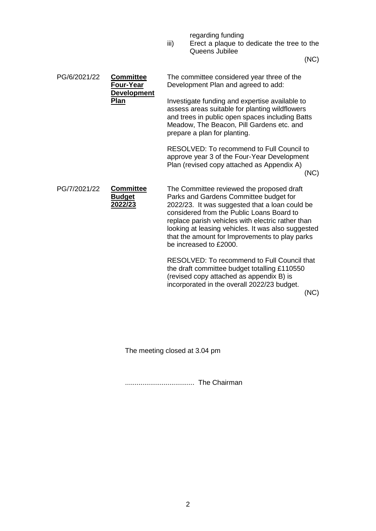regarding funding

iii) Erect a plaque to dedicate the tree to the Queens Jubilee

(NC)

| PG/6/2021/22 | <b>Committee</b><br>Four-Year<br><b>Development</b><br>Plan | The committee considered year three of the<br>Development Plan and agreed to add:                                                                                                                                                                                                                                                                                         |  |  |  |
|--------------|-------------------------------------------------------------|---------------------------------------------------------------------------------------------------------------------------------------------------------------------------------------------------------------------------------------------------------------------------------------------------------------------------------------------------------------------------|--|--|--|
|              |                                                             | Investigate funding and expertise available to<br>assess areas suitable for planting wildflowers<br>and trees in public open spaces including Batts<br>Meadow, The Beacon, Pill Gardens etc. and<br>prepare a plan for planting.                                                                                                                                          |  |  |  |
|              |                                                             | RESOLVED: To recommend to Full Council to<br>approve year 3 of the Four-Year Development<br>Plan (revised copy attached as Appendix A)<br>(NC)                                                                                                                                                                                                                            |  |  |  |
| PG/7/2021/22 | <b>Committee</b><br><b>Budget</b><br>2022/23                | The Committee reviewed the proposed draft<br>Parks and Gardens Committee budget for<br>2022/23. It was suggested that a loan could be<br>considered from the Public Loans Board to<br>replace parish vehicles with electric rather than<br>looking at leasing vehicles. It was also suggested<br>that the amount for Improvements to play parks<br>be increased to £2000. |  |  |  |
|              |                                                             | RESOLVED: To recommend to Full Council that<br>the draft committee budget totalling £110550<br>(revised copy attached as appendix B) is<br>incorporated in the overall 2022/23 budget.                                                                                                                                                                                    |  |  |  |

(NC)

The meeting closed at 3.04 pm

.................................... The Chairman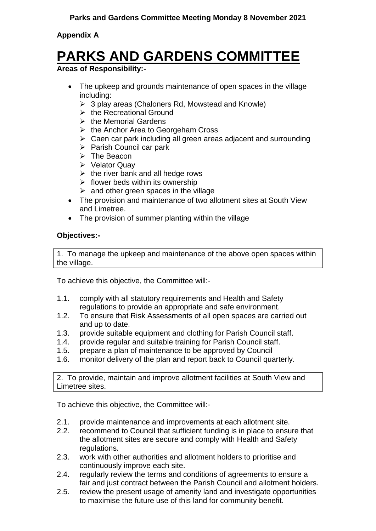### **Appendix A**

# **PARKS AND GARDENS COMMITTEE**

### **Areas of Responsibility:-**

- The upkeep and grounds maintenance of open spaces in the village including:
	- $\geq 3$  play areas (Chaloners Rd, Mowstead and Knowle)
	- $\triangleright$  the Recreational Ground
	- $\triangleright$  the Memorial Gardens
	- $\triangleright$  the Anchor Area to Georgeham Cross
	- $\triangleright$  Caen car park including all green areas adjacent and surrounding
	- $\triangleright$  Parish Council car park
	- $\triangleright$  The Beacon
	- $\triangleright$  Velator Quay
	- $\triangleright$  the river bank and all hedge rows
	- $\triangleright$  flower beds within its ownership
	- $\triangleright$  and other green spaces in the village
- The provision and maintenance of two allotment sites at South View and Limetree.
- The provision of summer planting within the village

### **Objectives:-**

1. To manage the upkeep and maintenance of the above open spaces within the village.

To achieve this objective, the Committee will:-

- 1.1. comply with all statutory requirements and Health and Safety regulations to provide an appropriate and safe environment.
- 1.2. To ensure that Risk Assessments of all open spaces are carried out and up to date.
- 1.3. provide suitable equipment and clothing for Parish Council staff.
- 1.4. provide regular and suitable training for Parish Council staff.
- 1.5. prepare a plan of maintenance to be approved by Council
- 1.6. monitor delivery of the plan and report back to Council quarterly.

2. To provide, maintain and improve allotment facilities at South View and Limetree sites.

To achieve this objective, the Committee will:-

- 2.1. provide maintenance and improvements at each allotment site.
- 2.2. recommend to Council that sufficient funding is in place to ensure that the allotment sites are secure and comply with Health and Safety regulations.
- 2.3. work with other authorities and allotment holders to prioritise and continuously improve each site.
- 2.4. regularly review the terms and conditions of agreements to ensure a fair and just contract between the Parish Council and allotment holders.
- 2.5. review the present usage of amenity land and investigate opportunities to maximise the future use of this land for community benefit.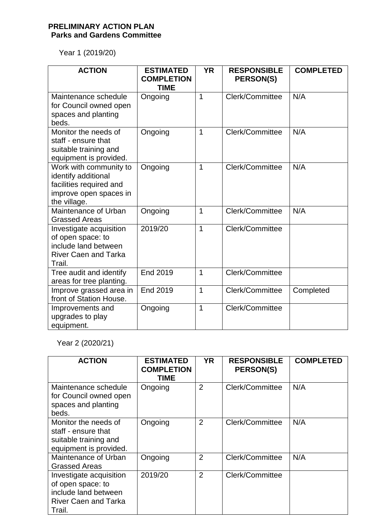### **PRELIMINARY ACTION PLAN Parks and Gardens Committee**

Year 1 (2019/20)

| <b>ACTION</b>                                                                                                      | <b>ESTIMATED</b><br><b>COMPLETION</b><br><b>TIME</b> | <b>YR</b>      | <b>RESPONSIBLE</b><br>PERSON(S) | <b>COMPLETED</b> |
|--------------------------------------------------------------------------------------------------------------------|------------------------------------------------------|----------------|---------------------------------|------------------|
| Maintenance schedule<br>for Council owned open<br>spaces and planting<br>beds.                                     | Ongoing                                              | $\overline{1}$ | Clerk/Committee                 | N/A              |
| Monitor the needs of<br>staff - ensure that<br>suitable training and<br>equipment is provided.                     | Ongoing                                              | $\mathbf{1}$   | Clerk/Committee                 | N/A              |
| Work with community to<br>identify additional<br>facilities required and<br>improve open spaces in<br>the village. | Ongoing                                              | 1              | Clerk/Committee                 | N/A              |
| Maintenance of Urban<br><b>Grassed Areas</b>                                                                       | Ongoing                                              | 1              | Clerk/Committee                 | N/A              |
| Investigate acquisition<br>of open space: to<br>include land between<br><b>River Caen and Tarka</b><br>Trail.      | 2019/20                                              | $\mathbf{1}$   | Clerk/Committee                 |                  |
| Tree audit and identify<br>areas for tree planting.                                                                | <b>End 2019</b>                                      | $\mathbf{1}$   | Clerk/Committee                 |                  |
| Improve grassed area in<br>front of Station House.                                                                 | <b>End 2019</b>                                      | 1              | Clerk/Committee                 | Completed        |
| Improvements and<br>upgrades to play<br>equipment.                                                                 | Ongoing                                              | $\mathbf{1}$   | Clerk/Committee                 |                  |

Year 2 (2020/21)

| <b>ACTION</b>                                                                                                 | <b>ESTIMATED</b><br><b>COMPLETION</b><br><b>TIME</b> | <b>YR</b>      | <b>RESPONSIBLE</b><br><b>PERSON(S)</b> | <b>COMPLETED</b> |
|---------------------------------------------------------------------------------------------------------------|------------------------------------------------------|----------------|----------------------------------------|------------------|
| Maintenance schedule<br>for Council owned open<br>spaces and planting<br>beds.                                | Ongoing                                              | $\overline{2}$ | Clerk/Committee                        | N/A              |
| Monitor the needs of<br>staff - ensure that<br>suitable training and<br>equipment is provided.                | Ongoing                                              | $\overline{2}$ | Clerk/Committee                        | N/A              |
| Maintenance of Urban<br><b>Grassed Areas</b>                                                                  | Ongoing                                              | $\overline{2}$ | Clerk/Committee                        | N/A              |
| Investigate acquisition<br>of open space: to<br>include land between<br><b>River Caen and Tarka</b><br>Trail. | 2019/20                                              | $\overline{2}$ | Clerk/Committee                        |                  |